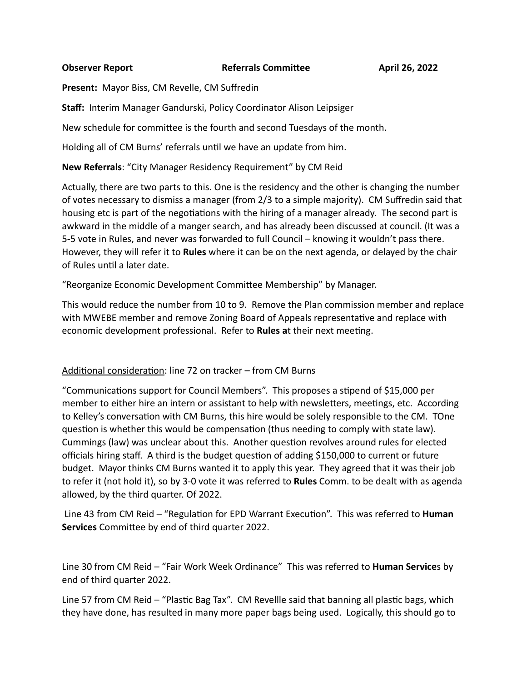#### **Observer Report Referrals Committee**

**Present:** Mayor Biss, CM Revelle, CM Suffredin

**Staff:** Interim Manager Gandurski, Policy Coordinator Alison Leipsiger

New schedule for committee is the fourth and second Tuesdays of the month.

Holding all of CM Burns' referrals until we have an update from him.

**New Referrals:** "City Manager Residency Requirement" by CM Reid

Actually, there are two parts to this. One is the residency and the other is changing the number of votes necessary to dismiss a manager (from 2/3 to a simple majority). CM Suffredin said that housing etc is part of the negotiations with the hiring of a manager already. The second part is awkward in the middle of a manger search, and has already been discussed at council. (It was a 5-5 vote in Rules, and never was forwarded to full Council – knowing it wouldn't pass there. However, they will refer it to **Rules** where it can be on the next agenda, or delayed by the chair of Rules until a later date.

"Reorganize Economic Development Committee Membership" by Manager.

This would reduce the number from 10 to 9. Remove the Plan commission member and replace with MWEBE member and remove Zoning Board of Appeals representative and replace with economic development professional. Refer to **Rules a**t their next meeting.

#### Additional consideration: line 72 on tracker – from CM Burns

"Communications support for Council Members". This proposes a stipend of \$15,000 per member to either hire an intern or assistant to help with newsletters, meetings, etc. According to Kelley's conversation with CM Burns, this hire would be solely responsible to the CM. TOne question is whether this would be compensation (thus needing to comply with state law). Cummings (law) was unclear about this. Another question revolves around rules for elected officials hiring staff. A third is the budget question of adding \$150,000 to current or future budget. Mayor thinks CM Burns wanted it to apply this year. They agreed that it was their job to refer it (not hold it), so by 3-0 vote it was referred to **Rules** Comm. to be dealt with as agenda allowed, by the third quarter. Of 2022.

Line 43 from CM Reid – "Regulation for EPD Warrant Execution". This was referred to **Human Services** Committee by end of third quarter 2022.

Line 30 from CM Reid – "Fair Work Week Ordinance" This was referred to **Human Service**s by end of third quarter 2022.

Line 57 from CM Reid – "Plastic Bag Tax". CM Revellle said that banning all plastic bags, which they have done, has resulted in many more paper bags being used. Logically, this should go to